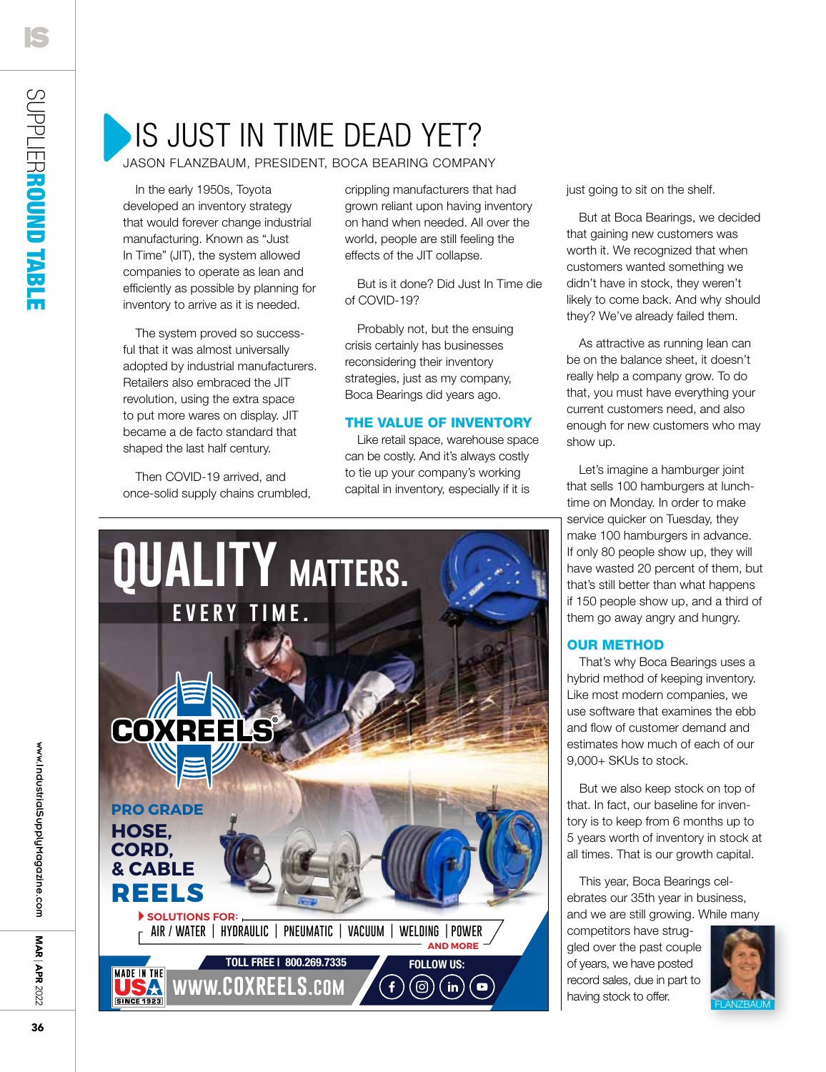# Is Just In Time Dead Yet?

jason flanzbaum, president, boca bearing company

In the early 1950s, Toyota developed an inventory strategy that would forever change industrial manufacturing. Known as "Just In Time" (JIT), the system allowed companies to operate as lean and efficiently as possible by planning for inventory to arrive as it is needed.

The system proved so successful that it was almost universally adopted by industrial manufacturers. Retailers also embraced the JIT revolution, using the extra space to put more wares on display. JIT became a de facto standard that shaped the last half century.

Then COVID-19 arrived, and once-solid supply chains crumbled, crippling manufacturers that had grown reliant upon having inventory on hand when needed. All over the world, people are still feeling the effects of the JIT collapse.

But is it done? Did Just In Time die of COVID-19?

Probably not, but the ensuing crisis certainly has businesses reconsidering their inventory strategies, just as my company, Boca Bearings did years ago.

### The Value of Inventory

Like retail space, warehouse space can be costly. And it's always costly to tie up your company's working capital in inventory, especially if it is



just going to sit on the shelf.

But at Boca Bearings, we decided that gaining new customers was worth it. We recognized that when customers wanted something we didn't have in stock, they weren't likely to come back. And why should they? We've already failed them.

As attractive as running lean can be on the balance sheet, it doesn't really help a company grow. To do that, you must have everything your current customers need, and also enough for new customers who may show up.

Let's imagine a hamburger joint that sells 100 hamburgers at lunchtime on Monday. In order to make service quicker on Tuesday, they make 100 hamburgers in advance. If only 80 people show up, they will have wasted 20 percent of them, but that's still better than what happens if 150 people show up, and a third of them go away angry and hungry.

### Our Method

That's why Boca Bearings uses a hybrid method of keeping inventory. Like most modern companies, we use software that examines the ebb and flow of customer demand and estimates how much of each of our 9,000+ SKUs to stock.

But we also keep stock on top of that. In fact, our baseline for inventory is to keep from 6 months up to 5 years worth of inventory in stock at all times. That is our growth capital.

This year, Boca Bearings celebrates our 35th year in business, and we are still growing. While many

competitors have struggled over the past couple of years, we have posted record sales, due in part to having stock to offer.